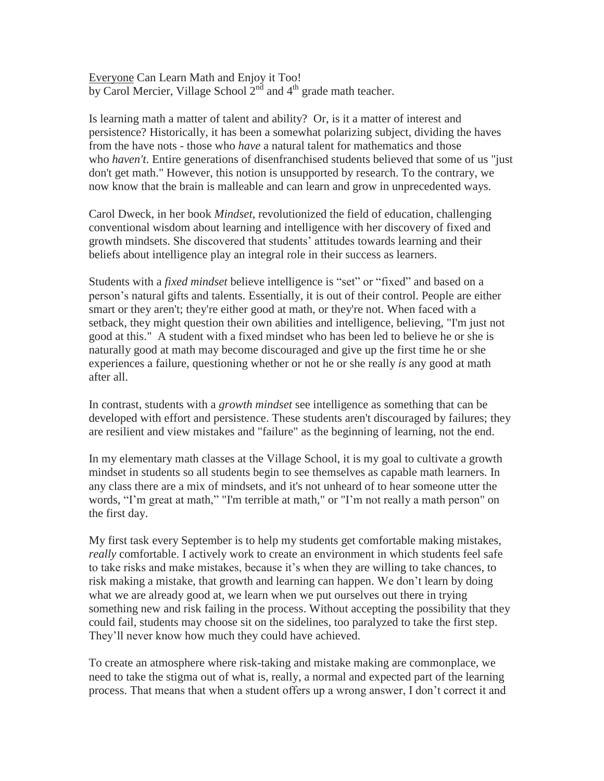Everyone Can Learn Math and Enjoy it Too! by Carol Mercier, Village School  $2<sup>nd</sup>$  and  $4<sup>th</sup>$  grade math teacher.

Is learning math a matter of talent and ability? Or, is it a matter of interest and persistence? Historically, it has been a somewhat polarizing subject, dividing the haves from the have nots - those who *have* a natural talent for mathematics and those who *haven't*. Entire generations of disenfranchised students believed that some of us "just don't get math." However, this notion is unsupported by research. To the contrary, we now know that the brain is malleable and can learn and grow in unprecedented ways.

Carol Dweck, in her book *Mindset*, revolutionized the field of education, challenging conventional wisdom about learning and intelligence with her discovery of fixed and growth mindsets. She discovered that students' attitudes towards learning and their beliefs about intelligence play an integral role in their success as learners.

Students with a *fixed mindset* believe intelligence is "set" or "fixed" and based on a person's natural gifts and talents. Essentially, it is out of their control. People are either smart or they aren't; they're either good at math, or they're not. When faced with a setback, they might question their own abilities and intelligence, believing, "I'm just not good at this." A student with a fixed mindset who has been led to believe he or she is naturally good at math may become discouraged and give up the first time he or she experiences a failure, questioning whether or not he or she really *is* any good at math after all.

In contrast, students with a *growth mindset* see intelligence as something that can be developed with effort and persistence. These students aren't discouraged by failures; they are resilient and view mistakes and "failure" as the beginning of learning, not the end.

In my elementary math classes at the Village School, it is my goal to cultivate a growth mindset in students so all students begin to see themselves as capable math learners. In any class there are a mix of mindsets, and it's not unheard of to hear someone utter the words, "I'm great at math," "I'm terrible at math," or "I'm not really a math person" on the first day.

My first task every September is to help my students get comfortable making mistakes, *really* comfortable. I actively work to create an environment in which students feel safe to take risks and make mistakes, because it's when they are willing to take chances, to risk making a mistake, that growth and learning can happen. We don't learn by doing what we are already good at, we learn when we put ourselves out there in trying something new and risk failing in the process. Without accepting the possibility that they could fail, students may choose sit on the sidelines, too paralyzed to take the first step. They'll never know how much they could have achieved.

To create an atmosphere where risk-taking and mistake making are commonplace, we need to take the stigma out of what is, really, a normal and expected part of the learning process. That means that when a student offers up a wrong answer, I don't correct it and